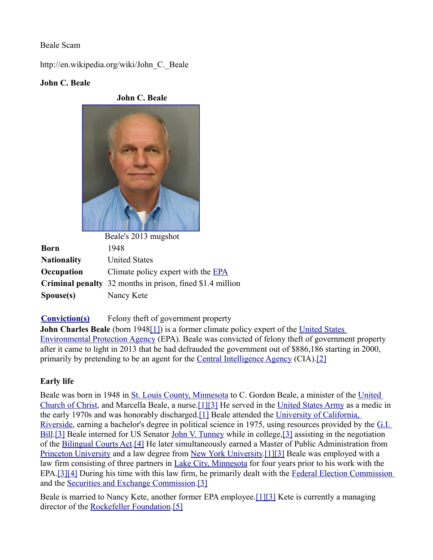## Beale Scam

http://en.wikipedia.org/wiki/John\_C.\_Beale

## **John C. Beale**

**John C. Beale**



Beale's 2013 mugshot **Born** 1948 **Nationality** United States **Occupation** Climate policy expert with the **EPA Criminal penalty** 32 months in prison, fined \$1.4 million **Spouse(s)** Nancy Kete

**[Conviction\(s\)](http://en.wikipedia.org/wiki/Conviction)** Felony theft of government property

**John Charles Beale** (born 194[8\[1\]\)](http://en.wikipedia.org/wiki/John_C._Beale#cite_note-eenews-1) is a former climate policy expert of the United States [Environmental Protection Agency](http://en.wikipedia.org/wiki/United_States_Environmental_Protection_Agency) (EPA). Beale was convicted of felony theft of government property after it came to light in 2013 that he had defrauded the government out of \$886,186 starting in 2000, primarily by pretending to be an agent for the [Central Intelligence Agency](http://en.wikipedia.org/wiki/Central_Intelligence_Agency) (CIA)[.\[2\]](http://en.wikipedia.org/wiki/John_C._Beale#cite_note-justice-2)

# **Early life**

Beale was born in 1948 in [St. Louis County, Minnesota](http://en.wikipedia.org/wiki/St._Louis_County,_Minnesota) to C. Gordon Beale, a minister of the [United](http://en.wikipedia.org/wiki/United_Church_of_Christ)  [Church of Christ,](http://en.wikipedia.org/wiki/United_Church_of_Christ) and Marcella Beale, a nurse[. \[1\]](http://en.wikipedia.org/wiki/John_C._Beale#cite_note-eenews-1) [\[3\]](http://en.wikipedia.org/wiki/John_C._Beale#cite_note-washingtonian-3) He served in the [United States Army](http://en.wikipedia.org/wiki/United_States_Army) as a medic in the early 1970s and was honorably discharged[.\[1\]](http://en.wikipedia.org/wiki/John_C._Beale#cite_note-eenews-1) Beale attended the [University of California,](http://en.wikipedia.org/wiki/University_of_California,_Riverside)  [Riverside,](http://en.wikipedia.org/wiki/University_of_California,_Riverside) earning a bachelor's degree in political science in 1975, using resources provided by the [G.I.](http://en.wikipedia.org/wiki/G.I._Bill)  [Bill.](http://en.wikipedia.org/wiki/G.I._Bill)[\[3\]](http://en.wikipedia.org/wiki/John_C._Beale#cite_note-washingtonian-3) Beale interned for US Senator [John V. Tunney](http://en.wikipedia.org/wiki/John_V._Tunney) while in college[,\[3\]](http://en.wikipedia.org/wiki/John_C._Beale#cite_note-washingtonian-3) assisting in the negotiation of the [Bilingual Courts Act.](http://en.wikipedia.org/w/index.php?title=Bilingual_Courts_Act&action=edit&redlink=1)[\[4\]](http://en.wikipedia.org/wiki/John_C._Beale#cite_note-dep-4) He later simultaneously earned a Master of Public Administration from [Princeton University](http://en.wikipedia.org/wiki/Princeton_University) and a law degree from [New York University.](http://en.wikipedia.org/wiki/New_York_University) [\[1\]](http://en.wikipedia.org/wiki/John_C._Beale#cite_note-eenews-1) [\[3\]](http://en.wikipedia.org/wiki/John_C._Beale#cite_note-washingtonian-3) Beale was employed with a law firm consisting of three partners in [Lake City, Minnesota](http://en.wikipedia.org/wiki/Lake_City,_Minnesota) for four years prior to his work with the EPA[. \[3\]](http://en.wikipedia.org/wiki/John_C._Beale#cite_note-washingtonian-3) [\[4\]](http://en.wikipedia.org/wiki/John_C._Beale#cite_note-dep-4) During his time with this law firm, he primarily dealt with the [Federal Election Commission](http://en.wikipedia.org/wiki/Federal_Election_Commission) and the [Securities and Exchange Commission.](http://en.wikipedia.org/wiki/Securities_and_Exchange_Commission)[\[3\]](http://en.wikipedia.org/wiki/John_C._Beale#cite_note-washingtonian-3)

Beale is married to Nancy Kete, another former EPA employee[. \[1\]](http://en.wikipedia.org/wiki/John_C._Beale#cite_note-eenews-1) [\[3\]](http://en.wikipedia.org/wiki/John_C._Beale#cite_note-washingtonian-3) Kete is currently a managing director of the [Rockefeller Foundation](http://en.wikipedia.org/wiki/Rockefeller_Foundation)[.\[5\]](http://en.wikipedia.org/wiki/John_C._Beale#cite_note-rock-5)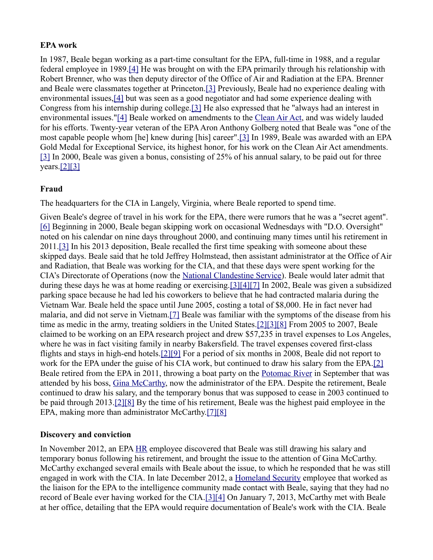#### **EPA work**

In 1987, Beale began working as a part-time consultant for the EPA, full-time in 1988, and a regular federal employee in 1989[.\[4\]](http://en.wikipedia.org/wiki/John_C._Beale#cite_note-dep-4) He was brought on with the EPA primarily through his relationship with Robert Brenner, who was then deputy director of the Office of Air and Radiation at the EPA. Brenner and Beale were classmates together at Princeton[.\[3\]](http://en.wikipedia.org/wiki/John_C._Beale#cite_note-washingtonian-3) Previously, Beale had no experience dealing with environmental issues[,\[4\]](http://en.wikipedia.org/wiki/John_C._Beale#cite_note-dep-4) but was seen as a good negotiator and had some experience dealing with Congress from his internship during college[.\[3\]](http://en.wikipedia.org/wiki/John_C._Beale#cite_note-washingtonian-3) He also expressed that he "always had an interest in environmental issues.["\[4\]](http://en.wikipedia.org/wiki/John_C._Beale#cite_note-dep-4) Beale worked on amendments to the [Clean Air Act,](http://en.wikipedia.org/wiki/Clean_Air_Act_(United_States)) and was widely lauded for his efforts. Twenty-year veteran of the EPA Aron Anthony Golberg noted that Beale was "one of the most capable people whom [he] knew during [his] career"[.\[3\]](http://en.wikipedia.org/wiki/John_C._Beale#cite_note-washingtonian-3) In 1989, Beale was awarded with an EPA Gold Medal for Exceptional Service, its highest honor, for his work on the Clean Air Act amendments. [\[3\]](http://en.wikipedia.org/wiki/John_C._Beale#cite_note-washingtonian-3) In 2000, Beale was given a bonus, consisting of 25% of his annual salary, to be paid out for three  $years.[2][3]$ 

## **Fraud**

The headquarters for the CIA in Langely, Virginia, where Beale reported to spend time.

Given Beale's degree of travel in his work for the EPA, there were rumors that he was a "secret agent". [\[6\]](http://en.wikipedia.org/wiki/John_C._Beale#cite_note-washingtonpost-6) Beginning in 2000, Beale began skipping work on occasional Wednesdays with "D.O. Oversight" noted on his calendar on nine days throughout 2000, and continuing many times until his retirement in 2011[.\[3\]](http://en.wikipedia.org/wiki/John_C._Beale#cite_note-washingtonian-3) In his 2013 deposition, Beale recalled the first time speaking with someone about these skipped days. Beale said that he told Jeffrey Holmstead, then assistant administrator at the Office of Air and Radiation, that Beale was working for the CIA, and that these days were spent working for the CIA's Directorate of Operations (now the [National Clandestine Service\)](http://en.wikipedia.org/wiki/National_Clandestine_Service). Beale would later admit that during these days he was at home reading or exercising[. \[3\]](http://en.wikipedia.org/wiki/John_C._Beale#cite_note-washingtonian-3) [\[4\]](http://en.wikipedia.org/wiki/John_C._Beale#cite_note-dep-4) [\[7\]](http://en.wikipedia.org/wiki/John_C._Beale#cite_note-fiscaltimes-7) In 2002, Beale was given a subsidized parking space because he had led his coworkers to believe that he had contracted malaria during the Vietnam War. Beale held the space until June 2005, costing a total of \$8,000. He in fact never had malaria, and did not serve in Vietnam[.\[7\]](http://en.wikipedia.org/wiki/John_C._Beale#cite_note-fiscaltimes-7) Beale was familiar with the symptoms of the disease from his time as medic in the army, treating soldiers in the United States[. \[2\]](http://en.wikipedia.org/wiki/John_C._Beale#cite_note-justice-2) [\[3\]](http://en.wikipedia.org/wiki/John_C._Beale#cite_note-washingtonian-3) [\[8\]](http://en.wikipedia.org/wiki/John_C._Beale#cite_note-nbcnews-8) From 2005 to 2007, Beale claimed to be working on an EPA research project and drew \$57,235 in travel expenses to Los Angeles, where he was in fact visiting family in nearby Bakersfield. The travel expenses covered first-class flights and stays in high-end hotels[. \[2\]](http://en.wikipedia.org/wiki/John_C._Beale#cite_note-justice-2) [\[9\]](http://en.wikipedia.org/wiki/John_C._Beale#cite_note-politico-9) For a period of six months in 2008, Beale did not report to work for the EPA under the guise of his CIA work, but continued to draw his salary from the EPA[.\[2\]](http://en.wikipedia.org/wiki/John_C._Beale#cite_note-justice-2) Beale retired from the EPA in 2011, throwing a boat party on the [Potomac River](http://en.wikipedia.org/wiki/Potomac_River) in September that was attended by his boss, [Gina McCarthy,](http://en.wikipedia.org/wiki/Gina_McCarthy) now the administrator of the EPA. Despite the retirement, Beale continued to draw his salary, and the temporary bonus that was supposed to cease in 2003 continued to be paid through 2013[. \[2\]](http://en.wikipedia.org/wiki/John_C._Beale#cite_note-justice-2) [\[8\]](http://en.wikipedia.org/wiki/John_C._Beale#cite_note-nbcnews-8) By the time of his retirement, Beale was the highest paid employee in the EPA, making more than administrator McCarthy[. \[7\]](http://en.wikipedia.org/wiki/John_C._Beale#cite_note-fiscaltimes-7) [\[8\]](http://en.wikipedia.org/wiki/John_C._Beale#cite_note-nbcnews-8)

## **Discovery and conviction**

In November 2012, an EPA [HR](http://en.wikipedia.org/wiki/Human_resources) employee discovered that Beale was still drawing his salary and temporary bonus following his retirement, and brought the issue to the attention of Gina McCarthy. McCarthy exchanged several emails with Beale about the issue, to which he responded that he was still engaged in work with the CIA. In late December 2012, a [Homeland Security](http://en.wikipedia.org/wiki/United_States_Department_of_Homeland_Security) employee that worked as the liaison for the EPA to the intelligence community made contact with Beale, saying that they had no record of Beale ever having worked for the CIA[. \[3\]](http://en.wikipedia.org/wiki/John_C._Beale#cite_note-washingtonian-3) [\[4\]](http://en.wikipedia.org/wiki/John_C._Beale#cite_note-dep-4) On January 7, 2013, McCarthy met with Beale at her office, detailing that the EPA would require documentation of Beale's work with the CIA. Beale